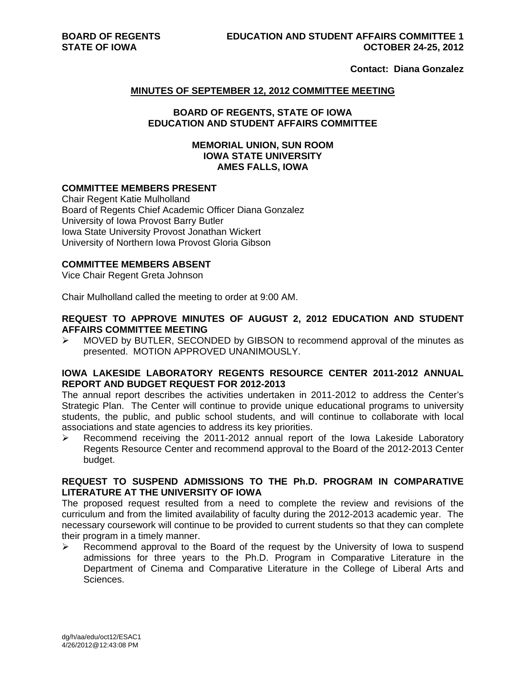**Contact: Diana Gonzalez** 

#### **MINUTES OF SEPTEMBER 12, 2012 COMMITTEE MEETING**

#### **BOARD OF REGENTS, STATE OF IOWA EDUCATION AND STUDENT AFFAIRS COMMITTEE**

#### **MEMORIAL UNION, SUN ROOM IOWA STATE UNIVERSITY AMES FALLS, IOWA**

# **COMMITTEE MEMBERS PRESENT**

Chair Regent Katie Mulholland Board of Regents Chief Academic Officer Diana Gonzalez University of Iowa Provost Barry Butler Iowa State University Provost Jonathan Wickert University of Northern Iowa Provost Gloria Gibson

### **COMMITTEE MEMBERS ABSENT**

Vice Chair Regent Greta Johnson

Chair Mulholland called the meeting to order at 9:00 AM.

### **REQUEST TO APPROVE MINUTES OF AUGUST 2, 2012 EDUCATION AND STUDENT AFFAIRS COMMITTEE MEETING**

 $\triangleright$  MOVED by BUTLER, SECONDED by GIBSON to recommend approval of the minutes as presented. MOTION APPROVED UNANIMOUSLY.

#### **IOWA LAKESIDE LABORATORY REGENTS RESOURCE CENTER 2011-2012 ANNUAL REPORT AND BUDGET REQUEST FOR 2012-2013**

The annual report describes the activities undertaken in 2011-2012 to address the Center's Strategic Plan. The Center will continue to provide unique educational programs to university students, the public, and public school students, and will continue to collaborate with local associations and state agencies to address its key priorities.

 $\triangleright$  Recommend receiving the 2011-2012 annual report of the Iowa Lakeside Laboratory Regents Resource Center and recommend approval to the Board of the 2012-2013 Center budget.

## **REQUEST TO SUSPEND ADMISSIONS TO THE Ph.D. PROGRAM IN COMPARATIVE LITERATURE AT THE UNIVERSITY OF IOWA**

The proposed request resulted from a need to complete the review and revisions of the curriculum and from the limited availability of faculty during the 2012-2013 academic year. The necessary coursework will continue to be provided to current students so that they can complete their program in a timely manner.

 $\triangleright$  Recommend approval to the Board of the request by the University of Iowa to suspend admissions for three years to the Ph.D. Program in Comparative Literature in the Department of Cinema and Comparative Literature in the College of Liberal Arts and Sciences.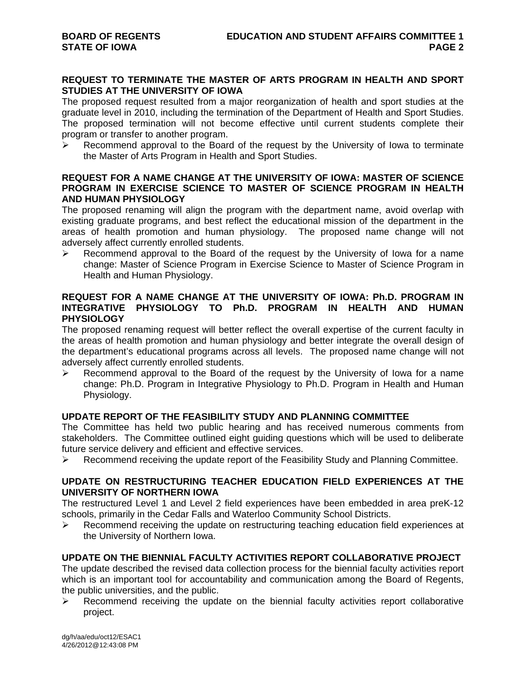## **REQUEST TO TERMINATE THE MASTER OF ARTS PROGRAM IN HEALTH AND SPORT STUDIES AT THE UNIVERSITY OF IOWA**

The proposed request resulted from a major reorganization of health and sport studies at the graduate level in 2010, including the termination of the Department of Health and Sport Studies. The proposed termination will not become effective until current students complete their program or transfer to another program.

 Recommend approval to the Board of the request by the University of Iowa to terminate the Master of Arts Program in Health and Sport Studies.

## **REQUEST FOR A NAME CHANGE AT THE UNIVERSITY OF IOWA: MASTER OF SCIENCE PROGRAM IN EXERCISE SCIENCE TO MASTER OF SCIENCE PROGRAM IN HEALTH AND HUMAN PHYSIOLOGY**

The proposed renaming will align the program with the department name, avoid overlap with existing graduate programs, and best reflect the educational mission of the department in the areas of health promotion and human physiology. The proposed name change will not adversely affect currently enrolled students.

 Recommend approval to the Board of the request by the University of Iowa for a name change: Master of Science Program in Exercise Science to Master of Science Program in Health and Human Physiology.

## **REQUEST FOR A NAME CHANGE AT THE UNIVERSITY OF IOWA: Ph.D. PROGRAM IN INTEGRATIVE PHYSIOLOGY TO Ph.D. PROGRAM IN HEALTH AND HUMAN PHYSIOLOGY**

The proposed renaming request will better reflect the overall expertise of the current faculty in the areas of health promotion and human physiology and better integrate the overall design of the department's educational programs across all levels. The proposed name change will not adversely affect currently enrolled students.

 Recommend approval to the Board of the request by the University of Iowa for a name change: Ph.D. Program in Integrative Physiology to Ph.D. Program in Health and Human Physiology.

# **UPDATE REPORT OF THE FEASIBILITY STUDY AND PLANNING COMMITTEE**

The Committee has held two public hearing and has received numerous comments from stakeholders. The Committee outlined eight guiding questions which will be used to deliberate future service delivery and efficient and effective services.

 $\triangleright$  Recommend receiving the update report of the Feasibility Study and Planning Committee.

# **UPDATE ON RESTRUCTURING TEACHER EDUCATION FIELD EXPERIENCES AT THE UNIVERSITY OF NORTHERN IOWA**

The restructured Level 1 and Level 2 field experiences have been embedded in area preK-12 schools, primarily in the Cedar Falls and Waterloo Community School Districts.

 Recommend receiving the update on restructuring teaching education field experiences at the University of Northern Iowa.

# **UPDATE ON THE BIENNIAL FACULTY ACTIVITIES REPORT COLLABORATIVE PROJECT**

The update described the revised data collection process for the biennial faculty activities report which is an important tool for accountability and communication among the Board of Regents, the public universities, and the public.

 $\triangleright$  Recommend receiving the update on the biennial faculty activities report collaborative project.